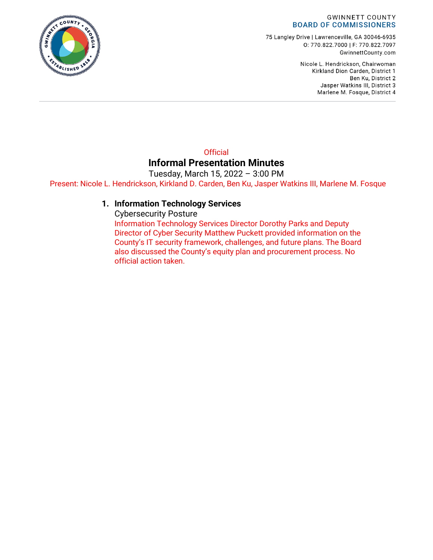#### **GWINNETT COUNTY BOARD OF COMMISSIONERS**

75 Langley Drive | Lawrenceville, GA 30046-6935 0: 770.822.7000 | F: 770.822.7097 GwinnettCounty.com

> Nicole L. Hendrickson, Chairwoman Kirkland Dion Carden, District 1 Ben Ku, District 2 Jasper Watkins III, District 3 Marlene M. Fosque, District 4

#### **Official Informal Presentation Minutes** Tuesday, March 15, 2022 – 3:00 PM

Present: Nicole L. Hendrickson, Kirkland D. Carden, Ben Ku, Jasper Watkins III, Marlene M. Fosque

#### **1. Information Technology Services**

Cybersecurity Posture

Information Technology Services Director Dorothy Parks and Deputy Director of Cyber Security Matthew Puckett provided information on the County's IT security framework, challenges, and future plans. The Board also discussed the County's equity plan and procurement process. No official action taken.

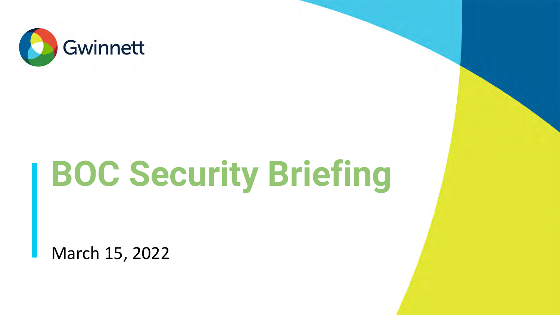

# **BOC Security Briefing**

March 15, 2022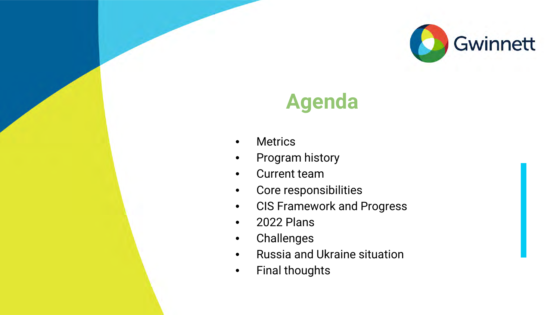

#### **Agenda**

- Metrics
- Program history
- Current team
- Core responsibilities
- CIS Framework and Progress
- 2022 Plans
- Challenges
- Russia and Ukraine situation
- Final thoughts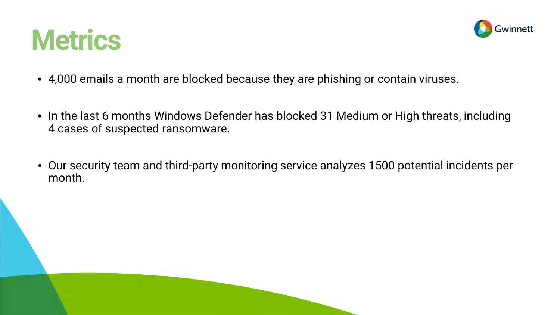



- 4,000 emails a month are blocked because they are phishing or contain viruses.
- In the last 6 months Windows Defender has blocked 31 Medium or High threats, including 4 cases of suspected ransomware.
- Our security team and third-party monitoring service analyzes 1500 potential incidents per month.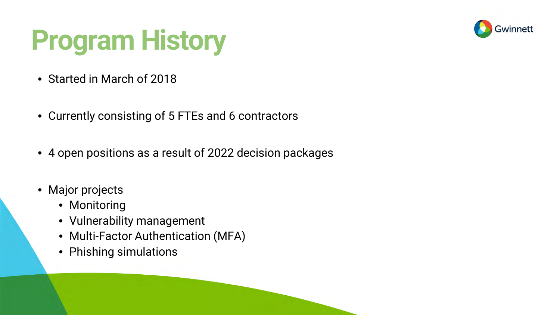

### **Program History**

- Started in March of 2018
- Currently consisting of 5 FTEs and 6 contractors
- 4 open positions as a result of 2022 decision packages
- Major projects
	- Monitoring
	- Vulnerability management
	- Multi-Factor Authentication (MFA)
	- Phishing simulations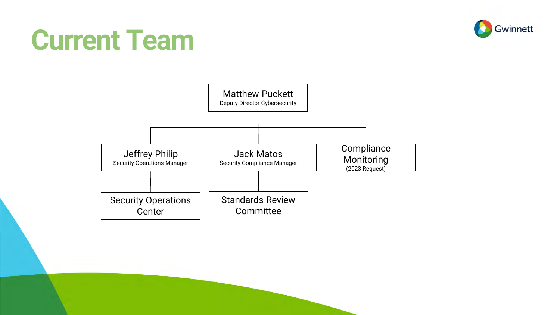#### **Current Team**



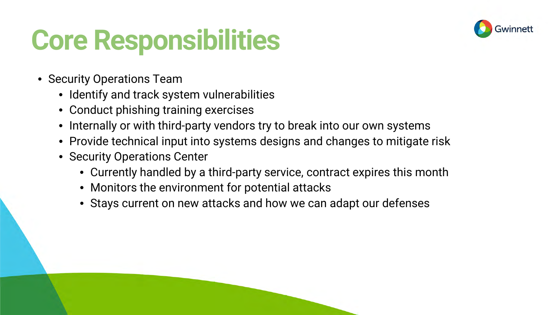#### **Core Responsibilities**



- Security Operations Team
	- Identify and track system vulnerabilities
	- Conduct phishing training exercises
	- Internally or with third-party vendors try to break into our own systems
	- Provide technical input into systems designs and changes to mitigate risk
	- Security Operations Center
		- Currently handled by a third-party service, contract expires this month
		- Monitors the environment for potential attacks
		- Stays current on new attacks and how we can adapt our defenses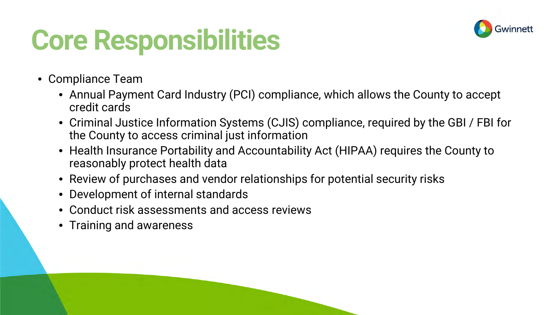#### **Core Responsibilities**



- Compliance Team
	- Annual Payment Card Industry (PCI) compliance, which allows the County to accept credit cards
	- Criminal Justice Information Systems (CJIS) compliance, required by the GBI / FBI for the County to access criminal just information
	- Health Insurance Portability and Accountability Act (HIPAA) requires the County to reasonably protect health data
	- Review of purchases and vendor relationships for potential security risks
	- Development of internal standards
	- Conduct risk assessments and access reviews
	- Training and awareness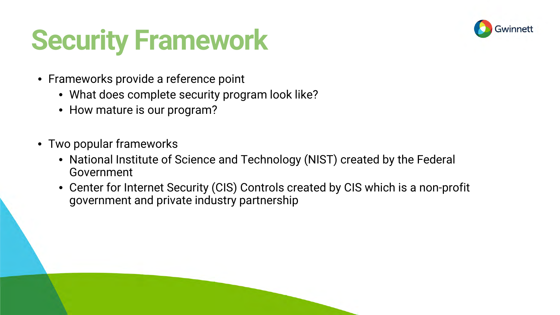#### **Security Framework**



- Frameworks provide a reference point
	- What does complete security program look like?
	- How mature is our program?
- Two popular frameworks
	- National Institute of Science and Technology (NIST) created by the Federal Government
	- Center for Internet Security (CIS) Controls created by CIS which is a non-profit government and private industry partnership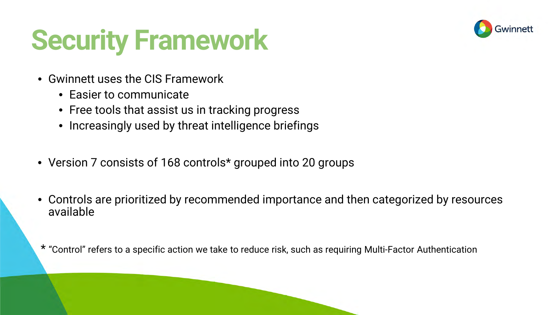#### **Security Framework**



- Gwinnett uses the CIS Framework
	- Easier to communicate
	- Free tools that assist us in tracking progress
	- Increasingly used by threat intelligence briefings
- Version 7 consists of 168 controls\* grouped into 20 groups
- Controls are prioritized by recommended importance and then categorized by resources available

\* "Control" refers to a specific action we take to reduce risk, such as requiring Multi-Factor Authentication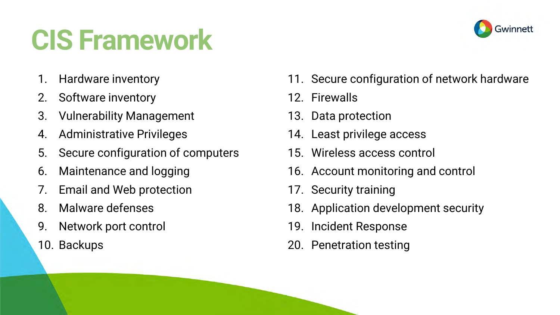### **CIS Framework**

- 1. Hardware inventory
- 2. Software inventory
- 3. Vulnerability Management
- 4. Administrative Privileges
- 5. Secure configuration of computers
- 6. Maintenance and logging
- 7. Email and Web protection
- 8. Malware defenses
- 9. Network port control
- 10. Backups
- 11. Secure configuration of network hardware
- 12. Firewalls
- 13. Data protection
- 14. Least privilege access
- 15. Wireless access control
- 16. Account monitoring and control
- 17. Security training
- 18. Application development security
- 19. Incident Response
- 20. Penetration testing

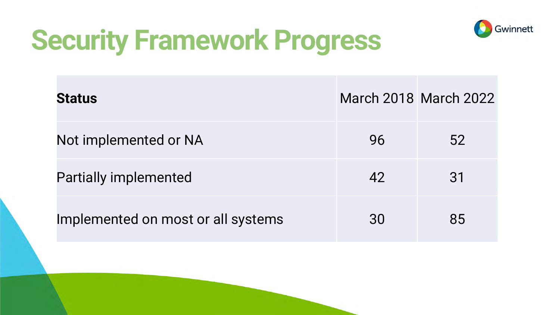

### **Security Framework Progress**

| <b>Status</b>                      |    | <b>March 2018 March 2022</b> |
|------------------------------------|----|------------------------------|
| Not implemented or NA              | 96 | 52                           |
| <b>Partially implemented</b>       | 42 | 31                           |
| Implemented on most or all systems | 30 | 85                           |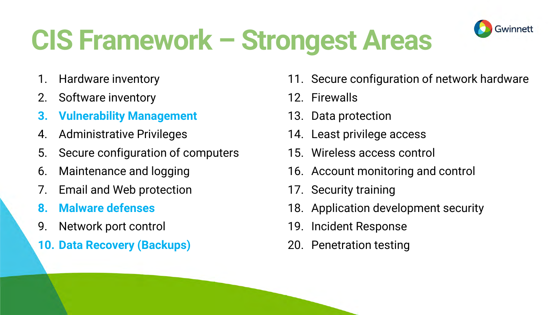### **CIS Framework – Strongest Areas**

- 1. Hardware inventory
- 2. Software inventory
- **3. Vulnerability Management**
- 4. Administrative Privileges
- 5. Secure configuration of computers
- 6. Maintenance and logging
- 7. Email and Web protection
- **8. Malware defenses**
- 9. Network port control
- **10. Data Recovery (Backups)**

11. Secure configuration of network hardware

**Gwinnett** 

- 12. Firewalls
- 13. Data protection
- 14. Least privilege access
- 15. Wireless access control
- 16. Account monitoring and control
- 17. Security training
- 18. Application development security
- 19. Incident Response
- 20. Penetration testing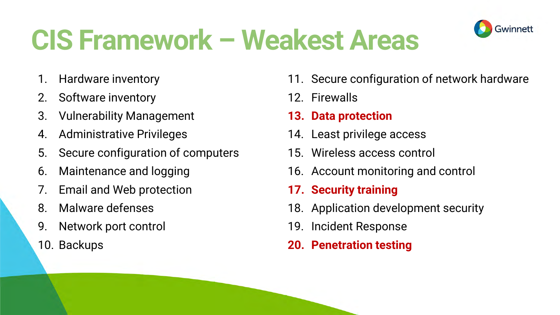### **CIS Framework – Weakest Areas**

- 1. Hardware inventory
- 2. Software inventory
- 3. Vulnerability Management
- 4. Administrative Privileges
- 5. Secure configuration of computers
- 6. Maintenance and logging
- 7. Email and Web protection
- 8. Malware defenses
- 9. Network port control
- 10. Backups

11. Secure configuration of network hardware

Gwinnett

- 12. Firewalls
- **13. Data protection**
- 14. Least privilege access
- 15. Wireless access control
- 16. Account monitoring and control
- **17. Security training**
- 18. Application development security
- 19. Incident Response
- **20. Penetration testing**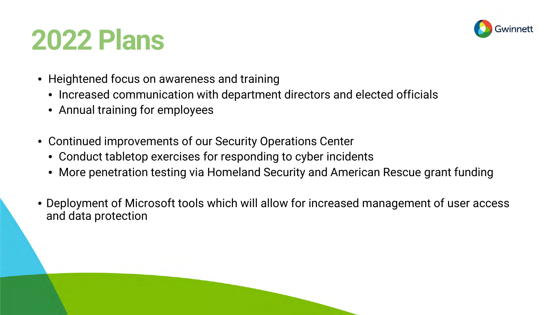#### **2022 Plans**



- Heightened focus on awareness and training
	- Increased communication with department directors and elected officials
	- Annual training for employees
- Continued improvements of our Security Operations Center
	- Conduct tabletop exercises for responding to cyber incidents
	- More penetration testing via Homeland Security and American Rescue grant funding
- Deployment of Microsoft tools which will allow for increased management of user access and data protection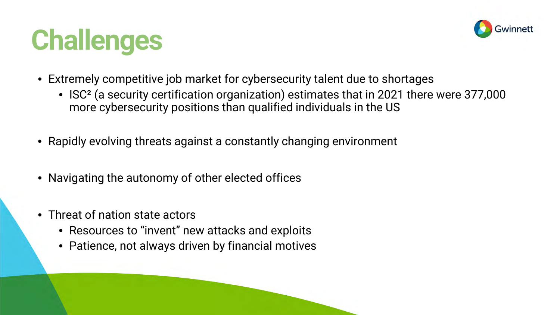



- Extremely competitive job market for cybersecurity talent due to shortages
	- ISC² (a security certification organization) estimates that in 2021 there were 377,000 more cybersecurity positions than qualified individuals in the US
- Rapidly evolving threats against a constantly changing environment
- Navigating the autonomy of other elected offices
- Threat of nation state actors
	- Resources to "invent" new attacks and exploits
	- Patience, not always driven by financial motives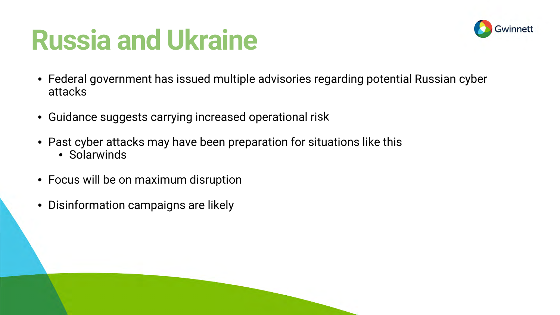#### **Russia and Ukraine**



- Federal government has issued multiple advisories regarding potential Russian cyber attacks
- Guidance suggests carrying increased operational risk
- Past cyber attacks may have been preparation for situations like this
	- Solarwinds
- Focus will be on maximum disruption
- Disinformation campaigns are likely